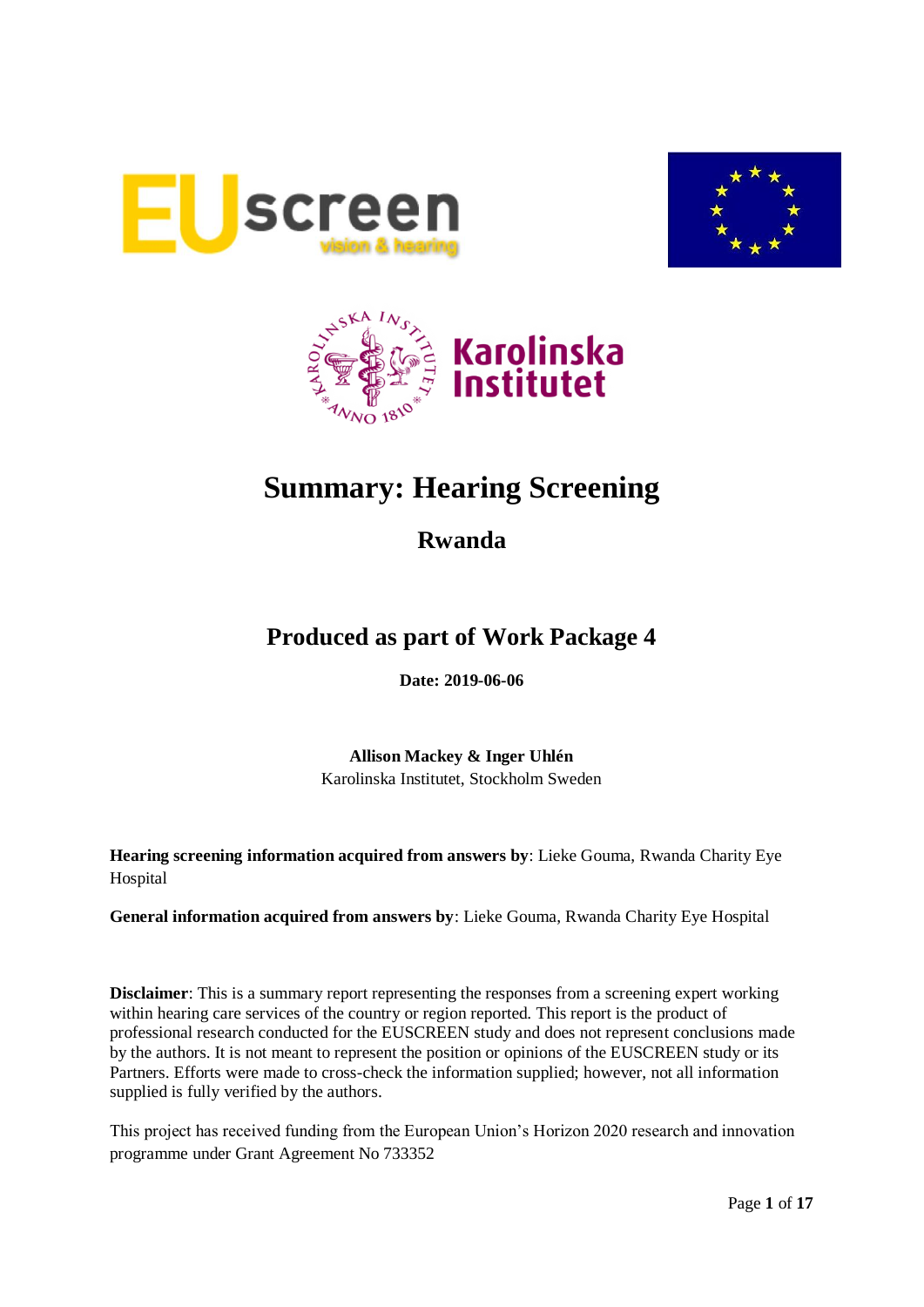





# **Summary: Hearing Screening**

**Rwanda**

# **Produced as part of Work Package 4**

**Date: 2019-06-06**

**Allison Mackey & Inger Uhlén** Karolinska Institutet, Stockholm Sweden

**Hearing screening information acquired from answers by**: Lieke Gouma, Rwanda Charity Eye Hospital

**General information acquired from answers by**: Lieke Gouma, Rwanda Charity Eye Hospital

**Disclaimer**: This is a summary report representing the responses from a screening expert working within hearing care services of the country or region reported. This report is the product of professional research conducted for the EUSCREEN study and does not represent conclusions made by the authors. It is not meant to represent the position or opinions of the EUSCREEN study or its Partners. Efforts were made to cross-check the information supplied; however, not all information supplied is fully verified by the authors.

This project has received funding from the European Union's Horizon 2020 research and innovation programme under Grant Agreement No 733352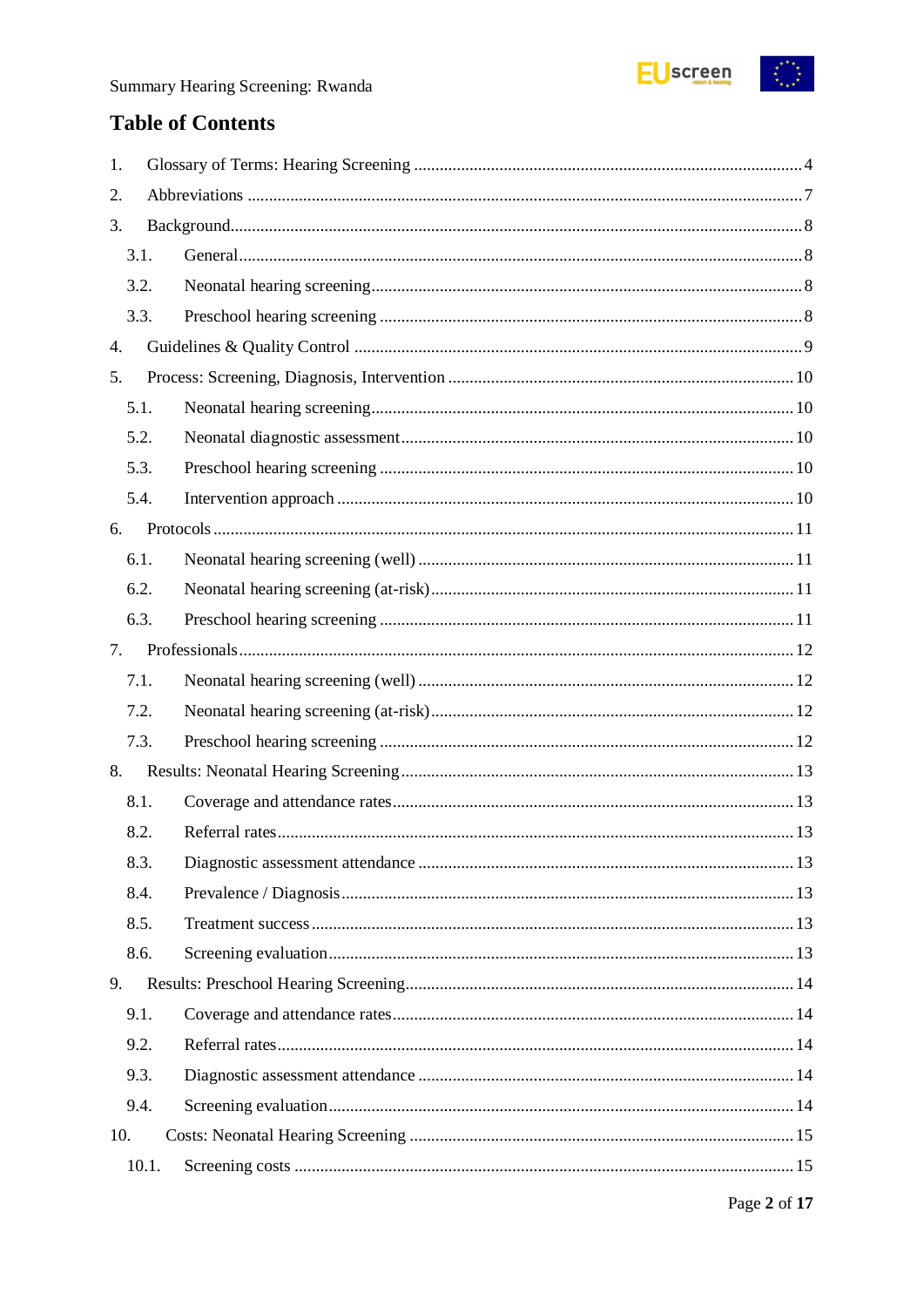

# **Table of Contents**

| 1.   |       |  |  |  |
|------|-------|--|--|--|
| 2.   |       |  |  |  |
| 3.   |       |  |  |  |
| 3.1. |       |  |  |  |
| 3.2. |       |  |  |  |
| 3.3. |       |  |  |  |
| 4.   |       |  |  |  |
| 5.   |       |  |  |  |
| 5.1. |       |  |  |  |
| 5.2. |       |  |  |  |
| 5.3. |       |  |  |  |
| 5.4. |       |  |  |  |
| 6.   |       |  |  |  |
| 6.1. |       |  |  |  |
| 6.2. |       |  |  |  |
| 6.3. |       |  |  |  |
| 7.   |       |  |  |  |
| 7.1. |       |  |  |  |
| 7.2. |       |  |  |  |
| 7.3. |       |  |  |  |
| 8.   |       |  |  |  |
| 8.1. |       |  |  |  |
| 8.2. |       |  |  |  |
| 8.3. |       |  |  |  |
| 8.4. |       |  |  |  |
| 8.5. |       |  |  |  |
| 8.6. |       |  |  |  |
| 9.   |       |  |  |  |
| 9.1. |       |  |  |  |
| 9.2. |       |  |  |  |
| 9.3. |       |  |  |  |
| 9.4. |       |  |  |  |
| 10.  |       |  |  |  |
|      | 10.1. |  |  |  |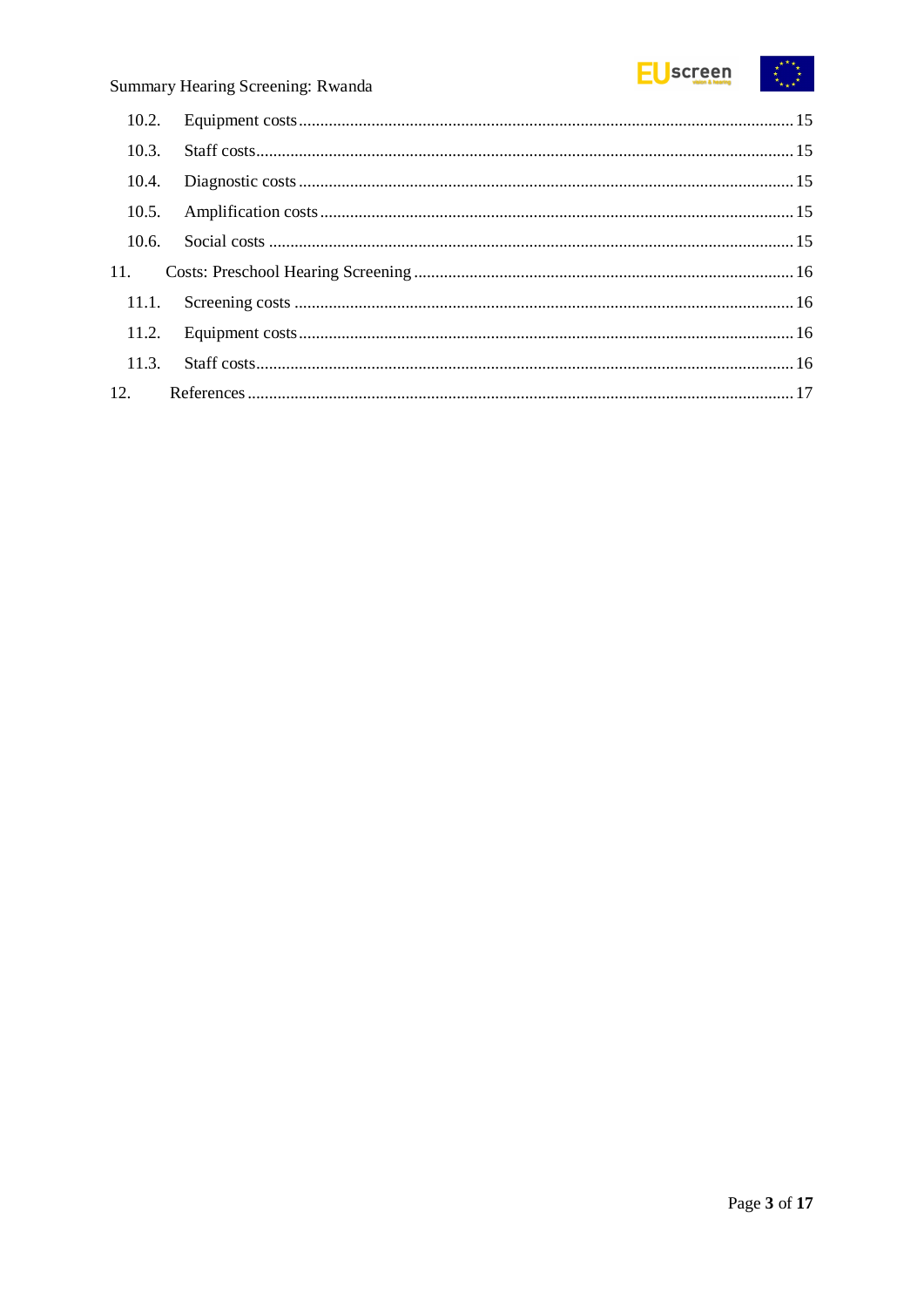

| 10.3. |  |
|-------|--|
|       |  |
|       |  |
|       |  |
|       |  |
| 11.1. |  |
|       |  |
|       |  |
|       |  |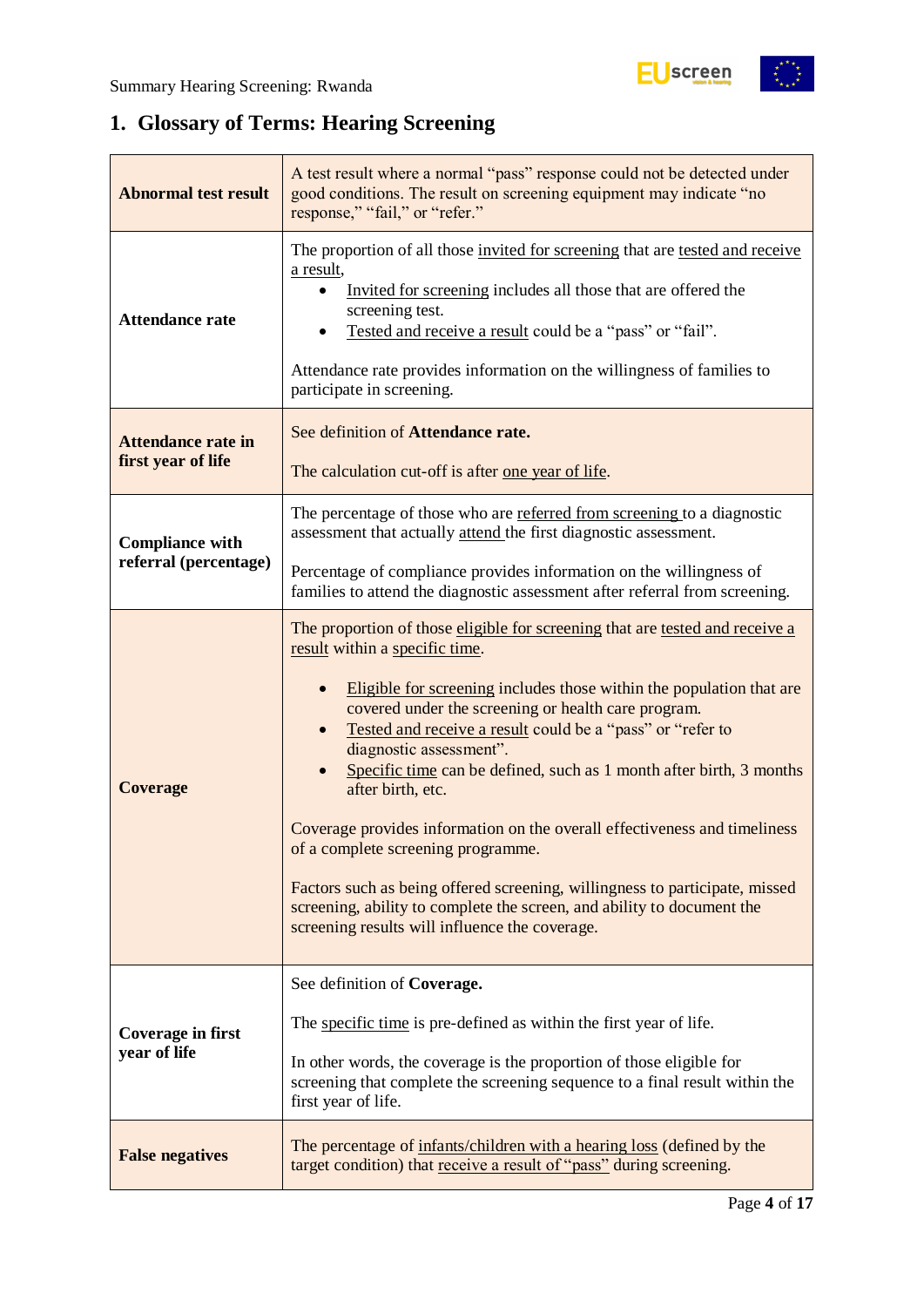$\begin{pmatrix} x^{\alpha} & x^{\alpha} \\ x^{\alpha} & x^{\alpha} \end{pmatrix}$ 

# <span id="page-3-0"></span>**1. Glossary of Terms: Hearing Screening**

| <b>Abnormal test result</b>                     | A test result where a normal "pass" response could not be detected under<br>good conditions. The result on screening equipment may indicate "no<br>response," "fail," or "refer."                                                                                                                                                                                                                                                                                                                                                                                                                                                                                                                                                                                |
|-------------------------------------------------|------------------------------------------------------------------------------------------------------------------------------------------------------------------------------------------------------------------------------------------------------------------------------------------------------------------------------------------------------------------------------------------------------------------------------------------------------------------------------------------------------------------------------------------------------------------------------------------------------------------------------------------------------------------------------------------------------------------------------------------------------------------|
| <b>Attendance rate</b>                          | The proportion of all those invited for screening that are tested and receive<br>a result,<br>Invited for screening includes all those that are offered the<br>screening test.<br>Tested and receive a result could be a "pass" or "fail".<br>Attendance rate provides information on the willingness of families to<br>participate in screening.                                                                                                                                                                                                                                                                                                                                                                                                                |
| <b>Attendance rate in</b><br>first year of life | See definition of Attendance rate.<br>The calculation cut-off is after one year of life.                                                                                                                                                                                                                                                                                                                                                                                                                                                                                                                                                                                                                                                                         |
| <b>Compliance with</b>                          | The percentage of those who are referred from screening to a diagnostic<br>assessment that actually attend the first diagnostic assessment.                                                                                                                                                                                                                                                                                                                                                                                                                                                                                                                                                                                                                      |
| referral (percentage)                           | Percentage of compliance provides information on the willingness of<br>families to attend the diagnostic assessment after referral from screening.                                                                                                                                                                                                                                                                                                                                                                                                                                                                                                                                                                                                               |
| <b>Coverage</b>                                 | The proportion of those eligible for screening that are tested and receive a<br>result within a specific time.<br>Eligible for screening includes those within the population that are<br>covered under the screening or health care program.<br>Tested and receive a result could be a "pass" or "refer to<br>diagnostic assessment".<br>Specific time can be defined, such as 1 month after birth, 3 months<br>after birth, etc.<br>Coverage provides information on the overall effectiveness and timeliness<br>of a complete screening programme.<br>Factors such as being offered screening, willingness to participate, missed<br>screening, ability to complete the screen, and ability to document the<br>screening results will influence the coverage. |
| <b>Coverage in first</b><br>year of life        | See definition of Coverage.<br>The specific time is pre-defined as within the first year of life.<br>In other words, the coverage is the proportion of those eligible for<br>screening that complete the screening sequence to a final result within the<br>first year of life.                                                                                                                                                                                                                                                                                                                                                                                                                                                                                  |
| <b>False negatives</b>                          | The percentage of infants/children with a hearing loss (defined by the<br>target condition) that receive a result of "pass" during screening.                                                                                                                                                                                                                                                                                                                                                                                                                                                                                                                                                                                                                    |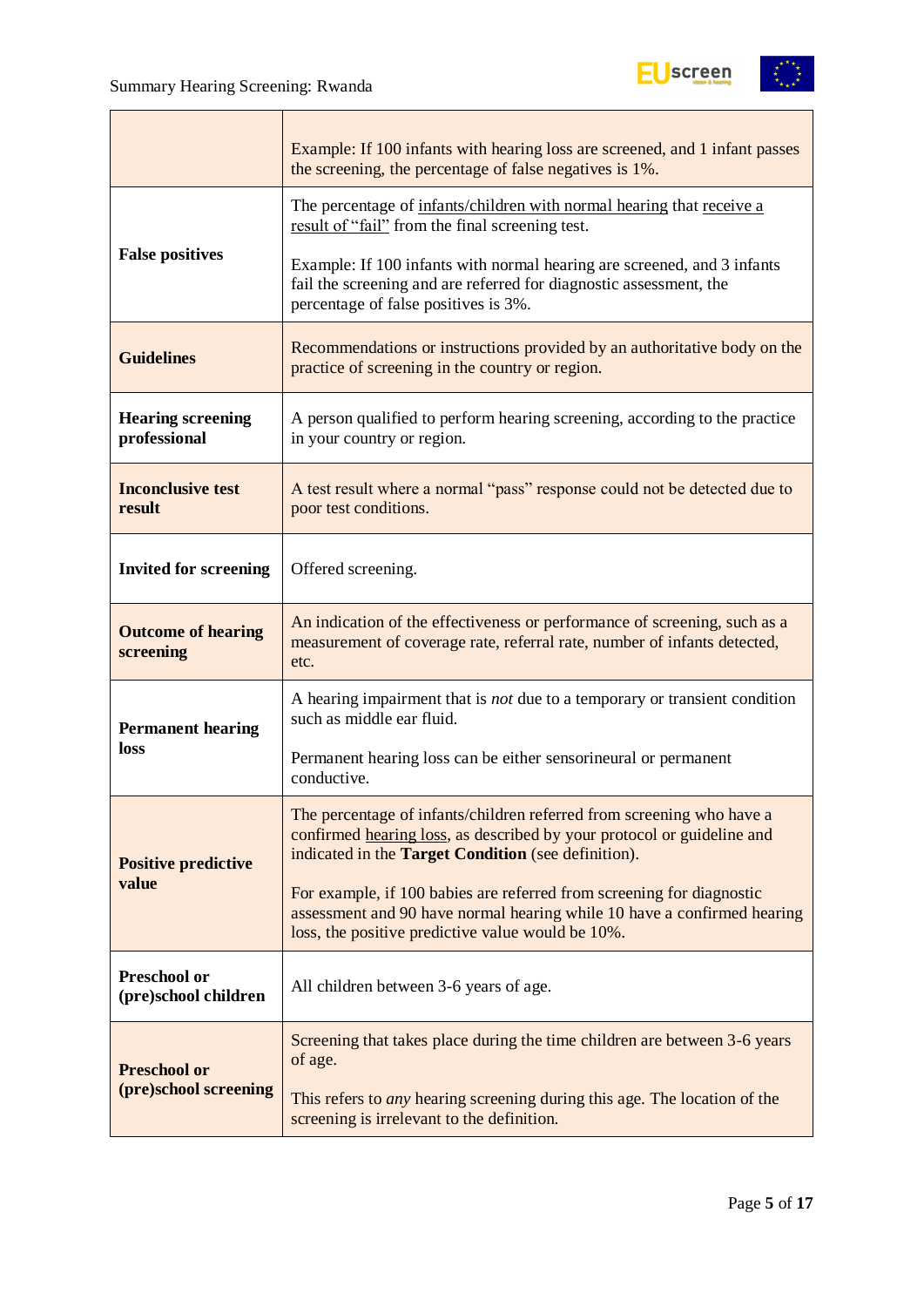

|                                             | Example: If 100 infants with hearing loss are screened, and 1 infant passes<br>the screening, the percentage of false negatives is 1%.                                                                 |
|---------------------------------------------|--------------------------------------------------------------------------------------------------------------------------------------------------------------------------------------------------------|
|                                             | The percentage of infants/children with normal hearing that receive a<br>result of "fail" from the final screening test.                                                                               |
| <b>False positives</b>                      | Example: If 100 infants with normal hearing are screened, and 3 infants<br>fail the screening and are referred for diagnostic assessment, the<br>percentage of false positives is 3%.                  |
| <b>Guidelines</b>                           | Recommendations or instructions provided by an authoritative body on the<br>practice of screening in the country or region.                                                                            |
| <b>Hearing screening</b><br>professional    | A person qualified to perform hearing screening, according to the practice<br>in your country or region.                                                                                               |
| <b>Inconclusive test</b><br>result          | A test result where a normal "pass" response could not be detected due to<br>poor test conditions.                                                                                                     |
| <b>Invited for screening</b>                | Offered screening.                                                                                                                                                                                     |
| <b>Outcome of hearing</b><br>screening      | An indication of the effectiveness or performance of screening, such as a<br>measurement of coverage rate, referral rate, number of infants detected,<br>etc.                                          |
| <b>Permanent hearing</b>                    | A hearing impairment that is not due to a temporary or transient condition<br>such as middle ear fluid.                                                                                                |
| loss                                        | Permanent hearing loss can be either sensorineural or permanent<br>conductive.                                                                                                                         |
| <b>Positive predictive</b>                  | The percentage of infants/children referred from screening who have a<br>confirmed hearing loss, as described by your protocol or guideline and<br>indicated in the Target Condition (see definition). |
| value                                       | For example, if 100 babies are referred from screening for diagnostic<br>assessment and 90 have normal hearing while 10 have a confirmed hearing<br>loss, the positive predictive value would be 10%.  |
| <b>Preschool or</b><br>(pre)school children | All children between 3-6 years of age.                                                                                                                                                                 |
| <b>Preschool or</b>                         | Screening that takes place during the time children are between 3-6 years<br>of age.                                                                                                                   |
| (pre)school screening                       | This refers to <i>any</i> hearing screening during this age. The location of the<br>screening is irrelevant to the definition.                                                                         |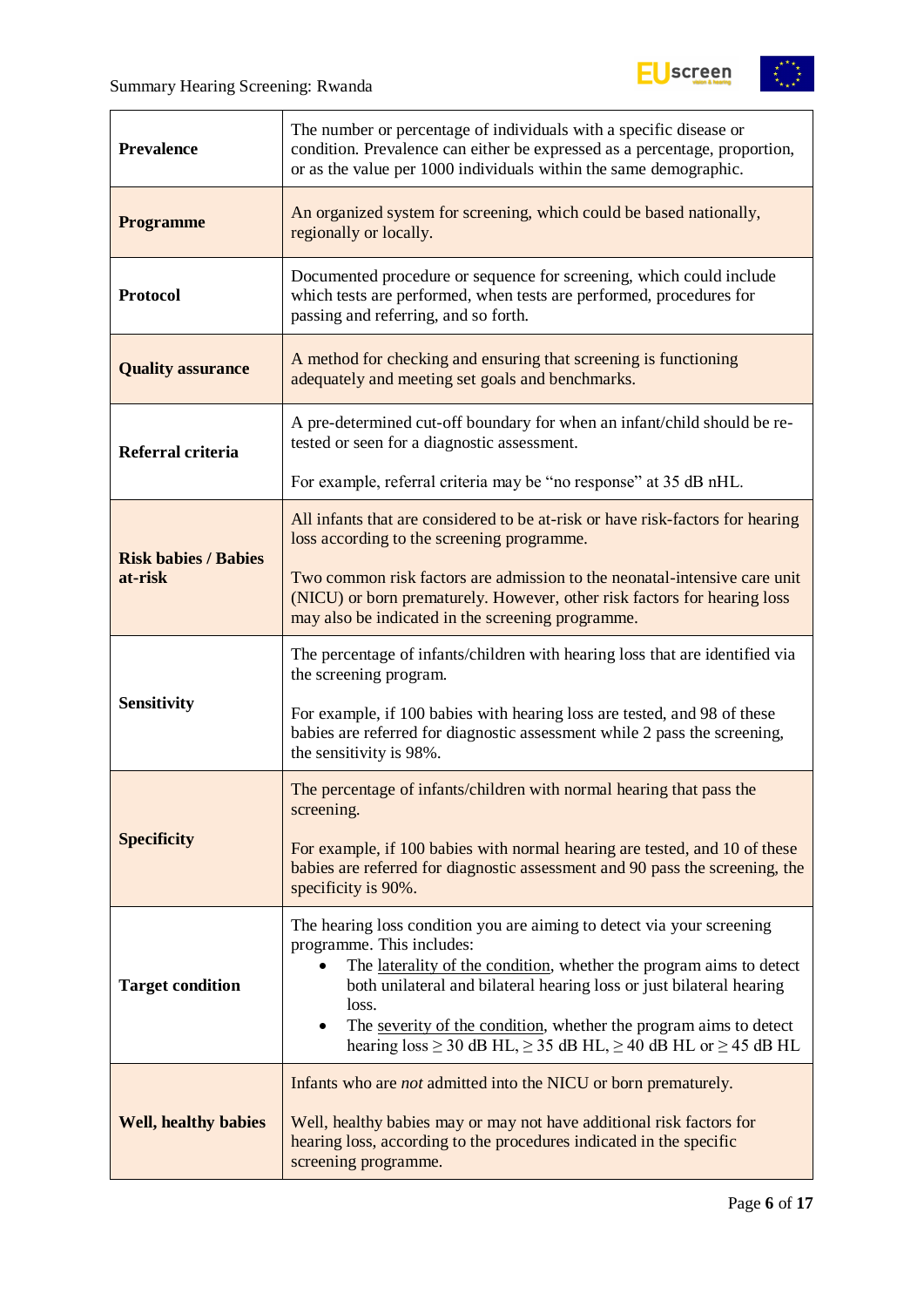

| <b>Prevalence</b>           | The number or percentage of individuals with a specific disease or<br>condition. Prevalence can either be expressed as a percentage, proportion,<br>or as the value per 1000 individuals within the same demographic.                                                                                                                                                                                                                       |
|-----------------------------|---------------------------------------------------------------------------------------------------------------------------------------------------------------------------------------------------------------------------------------------------------------------------------------------------------------------------------------------------------------------------------------------------------------------------------------------|
| <b>Programme</b>            | An organized system for screening, which could be based nationally,<br>regionally or locally.                                                                                                                                                                                                                                                                                                                                               |
| <b>Protocol</b>             | Documented procedure or sequence for screening, which could include<br>which tests are performed, when tests are performed, procedures for<br>passing and referring, and so forth.                                                                                                                                                                                                                                                          |
| <b>Quality assurance</b>    | A method for checking and ensuring that screening is functioning<br>adequately and meeting set goals and benchmarks.                                                                                                                                                                                                                                                                                                                        |
| Referral criteria           | A pre-determined cut-off boundary for when an infant/child should be re-<br>tested or seen for a diagnostic assessment.                                                                                                                                                                                                                                                                                                                     |
|                             | For example, referral criteria may be "no response" at 35 dB nHL.                                                                                                                                                                                                                                                                                                                                                                           |
| <b>Risk babies / Babies</b> | All infants that are considered to be at-risk or have risk-factors for hearing<br>loss according to the screening programme.                                                                                                                                                                                                                                                                                                                |
| at-risk                     | Two common risk factors are admission to the neonatal-intensive care unit<br>(NICU) or born prematurely. However, other risk factors for hearing loss<br>may also be indicated in the screening programme.                                                                                                                                                                                                                                  |
|                             | The percentage of infants/children with hearing loss that are identified via<br>the screening program.                                                                                                                                                                                                                                                                                                                                      |
| <b>Sensitivity</b>          | For example, if 100 babies with hearing loss are tested, and 98 of these<br>babies are referred for diagnostic assessment while 2 pass the screening,<br>the sensitivity is 98%.                                                                                                                                                                                                                                                            |
|                             | The percentage of infants/children with normal hearing that pass the<br>screening.                                                                                                                                                                                                                                                                                                                                                          |
| <b>Specificity</b>          | For example, if 100 babies with normal hearing are tested, and 10 of these<br>babies are referred for diagnostic assessment and 90 pass the screening, the<br>specificity is 90%.                                                                                                                                                                                                                                                           |
| <b>Target condition</b>     | The hearing loss condition you are aiming to detect via your screening<br>programme. This includes:<br>The laterality of the condition, whether the program aims to detect<br>$\bullet$<br>both unilateral and bilateral hearing loss or just bilateral hearing<br>loss.<br>The severity of the condition, whether the program aims to detect<br>$\bullet$<br>hearing $loss \ge 30$ dB HL, $\ge 35$ dB HL, $\ge 40$ dB HL or $\ge 45$ dB HL |
| <b>Well, healthy babies</b> | Infants who are <i>not</i> admitted into the NICU or born prematurely.<br>Well, healthy babies may or may not have additional risk factors for<br>hearing loss, according to the procedures indicated in the specific<br>screening programme.                                                                                                                                                                                               |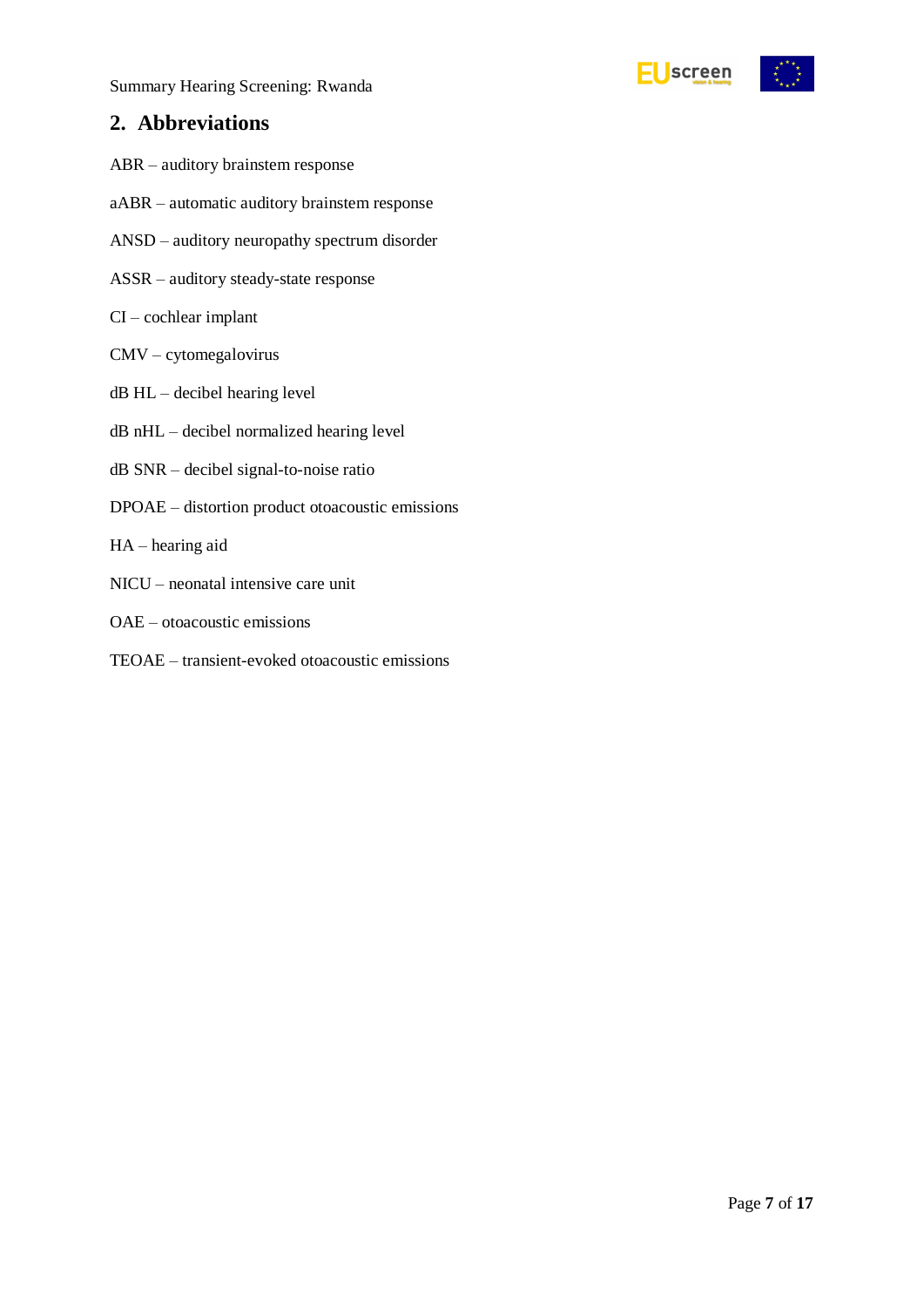

# <span id="page-6-0"></span>**2. Abbreviations**

- ABR auditory brainstem response
- aABR automatic auditory brainstem response
- ANSD auditory neuropathy spectrum disorder
- ASSR auditory steady-state response
- CI cochlear implant
- CMV cytomegalovirus
- dB HL decibel hearing level
- dB nHL decibel normalized hearing level
- dB SNR decibel signal-to-noise ratio
- DPOAE distortion product otoacoustic emissions
- HA hearing aid
- NICU neonatal intensive care unit
- OAE otoacoustic emissions
- TEOAE transient-evoked otoacoustic emissions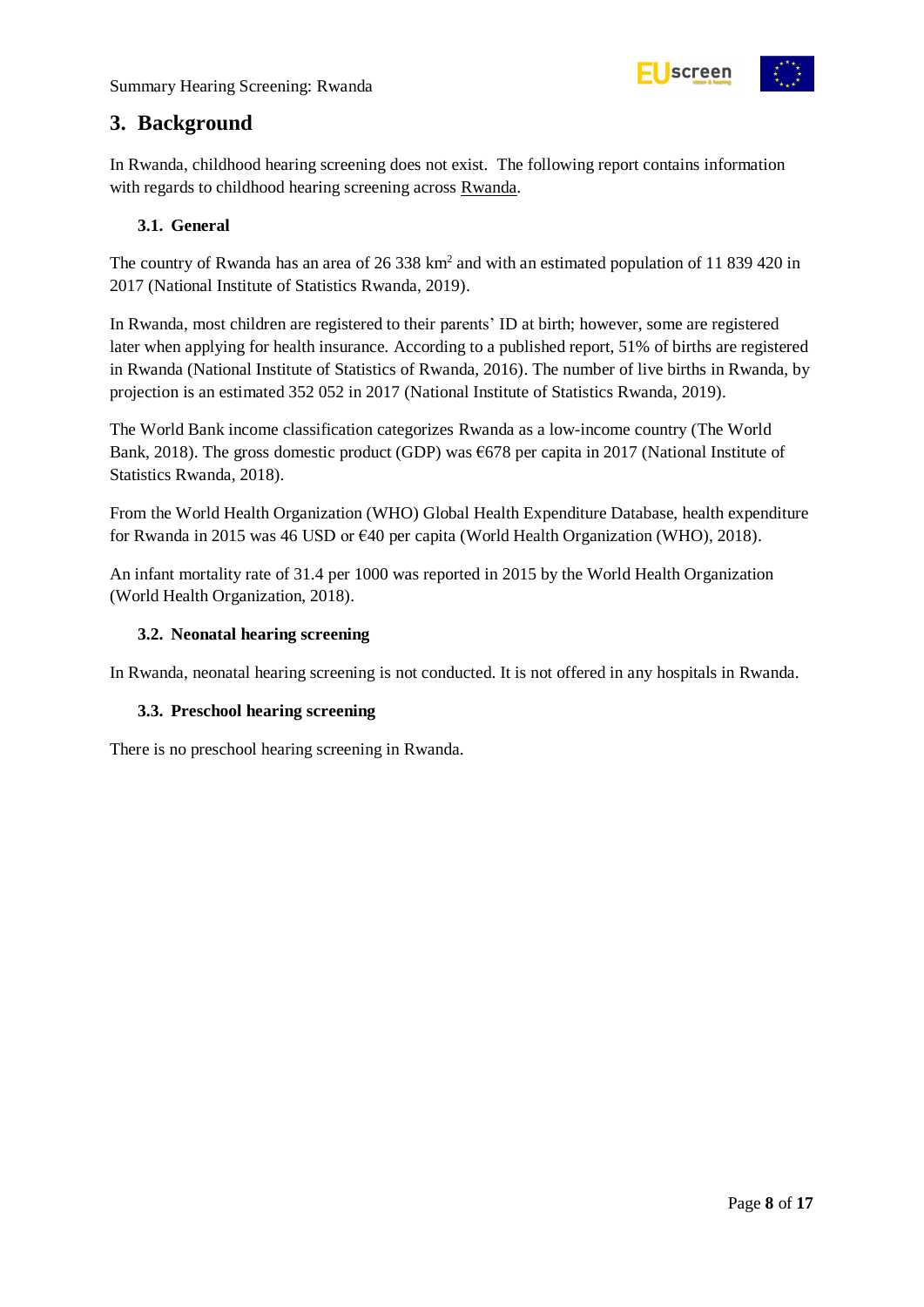

# <span id="page-7-0"></span>**3. Background**

In Rwanda, childhood hearing screening does not exist. The following report contains information with regards to childhood hearing screening across Rwanda.

#### <span id="page-7-1"></span>**3.1. General**

The country of Rwanda has an area of 26 338 km<sup>2</sup> and with an estimated population of 11 839 420 in 2017 (National Institute of Statistics Rwanda, 2019).

In Rwanda, most children are registered to their parents' ID at birth; however, some are registered later when applying for health insurance. According to a published report, 51% of births are registered in Rwanda (National Institute of Statistics of Rwanda, 2016). The number of live births in Rwanda, by projection is an estimated 352 052 in 2017 (National Institute of Statistics Rwanda, 2019).

The World Bank income classification categorizes Rwanda as a low-income country (The World Bank, 2018). The gross domestic product (GDP) was €678 per capita in 2017 (National Institute of Statistics Rwanda, 2018).

From the World Health Organization (WHO) Global Health Expenditure Database, health expenditure for Rwanda in 2015 was 46 USD or €40 per capita (World Health Organization (WHO), 2018).

An infant mortality rate of 31.4 per 1000 was reported in 2015 by the World Health Organization (World Health Organization, 2018).

#### <span id="page-7-2"></span>**3.2. Neonatal hearing screening**

In Rwanda, neonatal hearing screening is not conducted. It is not offered in any hospitals in Rwanda.

#### <span id="page-7-3"></span>**3.3. Preschool hearing screening**

There is no preschool hearing screening in Rwanda.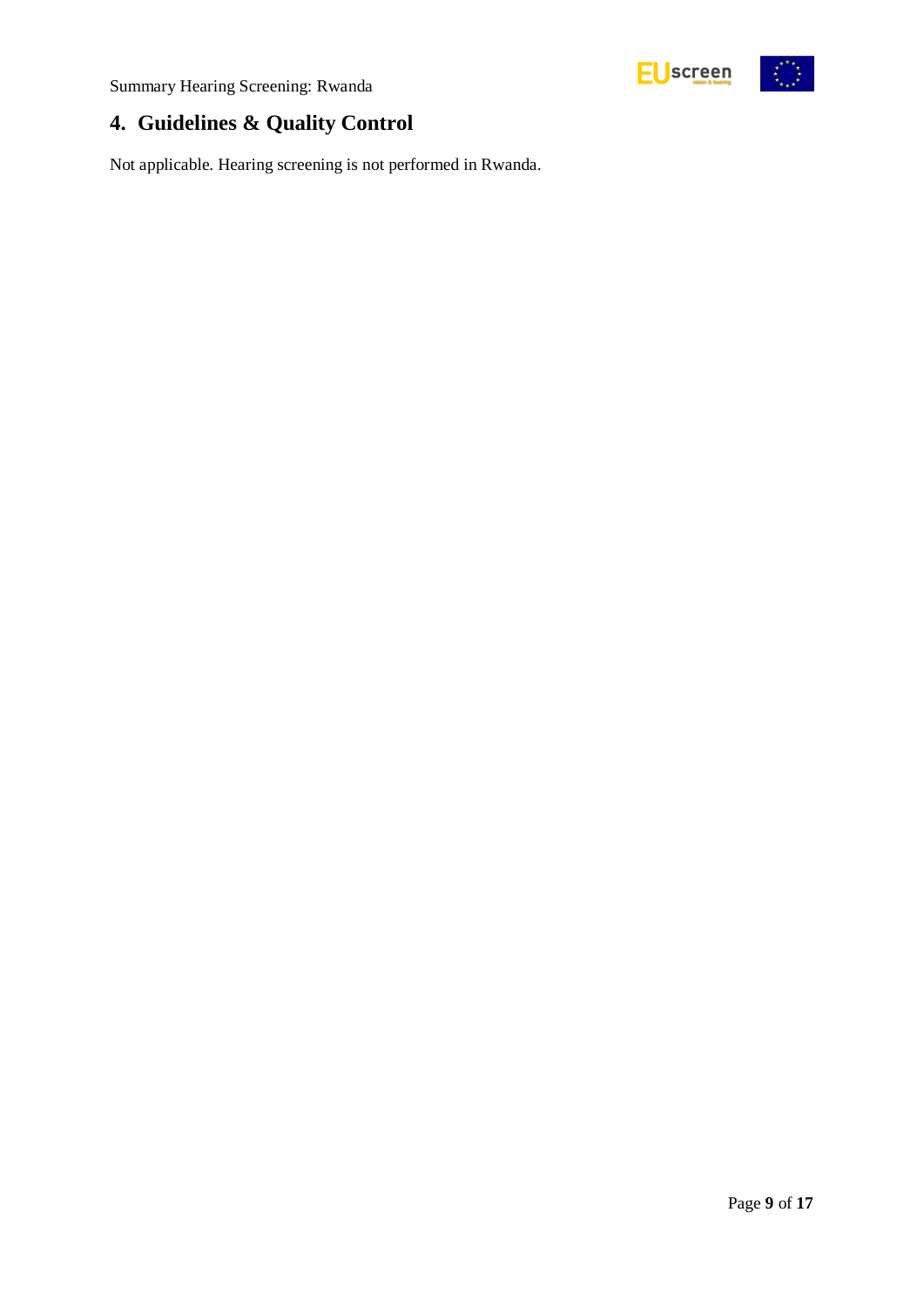# <span id="page-8-0"></span>**4. Guidelines & Quality Control**

Not applicable. Hearing screening is not performed in Rwanda.

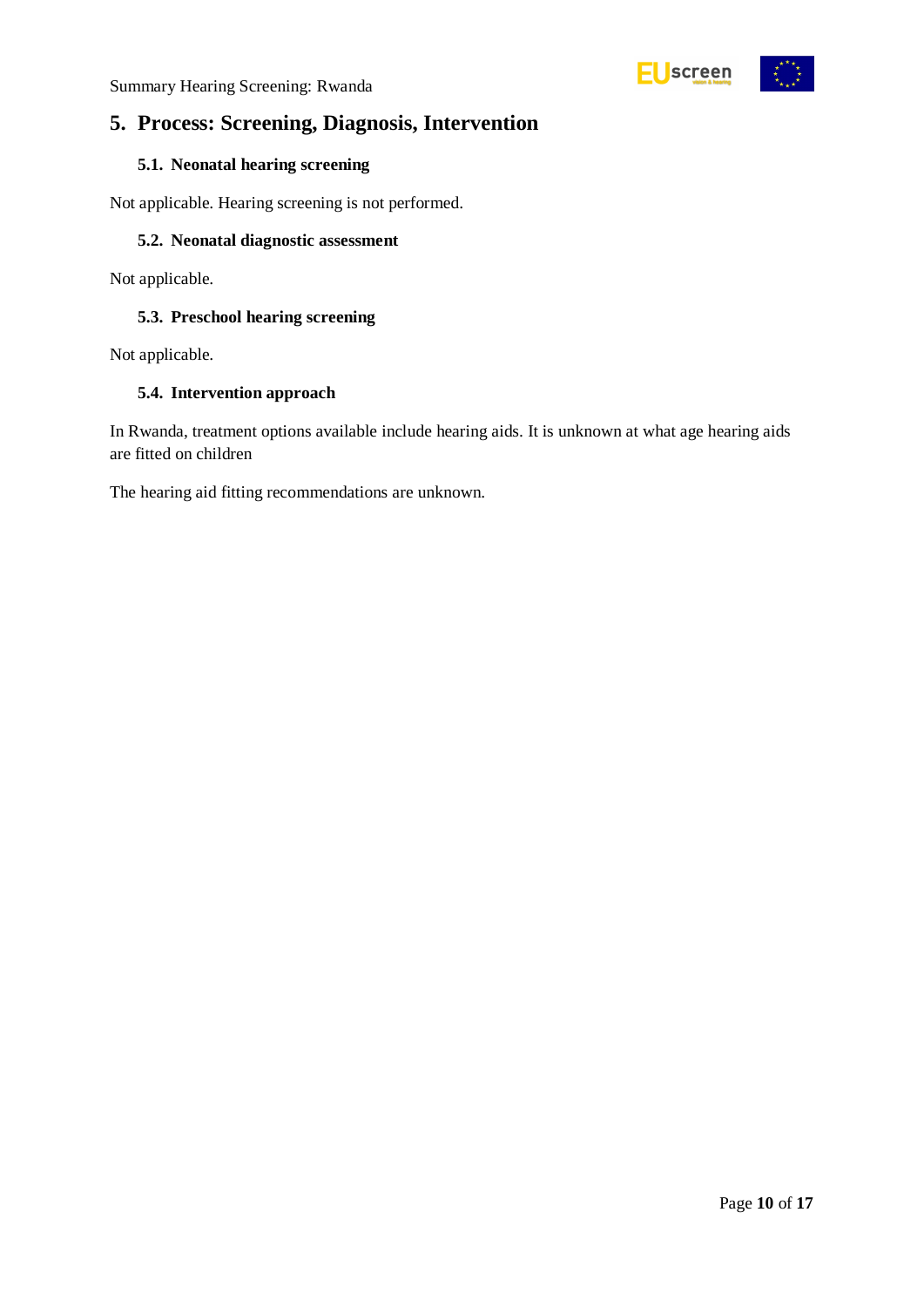

# <span id="page-9-0"></span>**5. Process: Screening, Diagnosis, Intervention**

#### <span id="page-9-1"></span>**5.1. Neonatal hearing screening**

Not applicable. Hearing screening is not performed.

#### <span id="page-9-2"></span>**5.2. Neonatal diagnostic assessment**

Not applicable.

#### <span id="page-9-3"></span>**5.3. Preschool hearing screening**

Not applicable.

#### <span id="page-9-4"></span>**5.4. Intervention approach**

In Rwanda, treatment options available include hearing aids. It is unknown at what age hearing aids are fitted on children

The hearing aid fitting recommendations are unknown.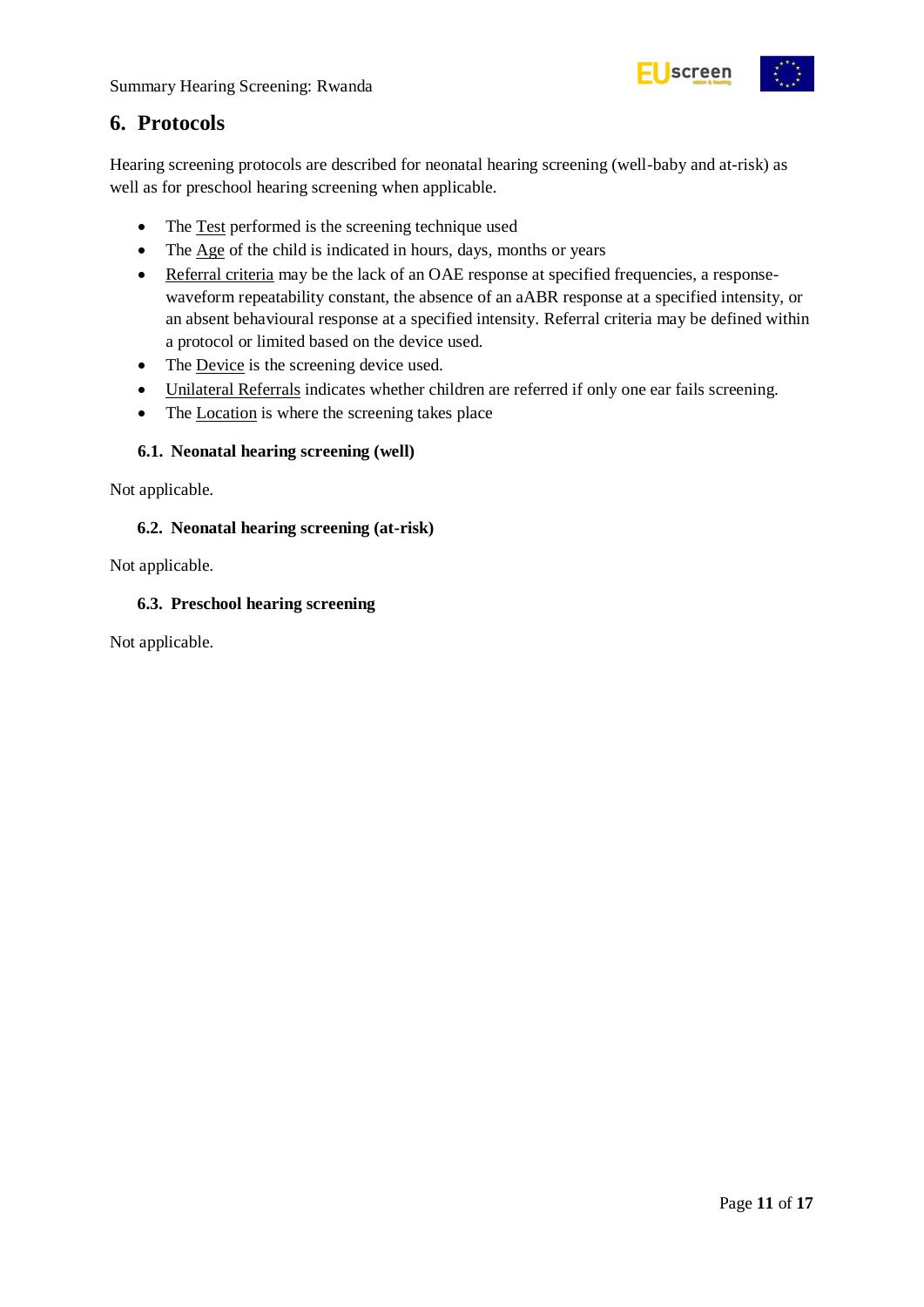

# <span id="page-10-0"></span>**6. Protocols**

Hearing screening protocols are described for neonatal hearing screening (well-baby and at-risk) as well as for preschool hearing screening when applicable.

- The Test performed is the screening technique used
- The Age of the child is indicated in hours, days, months or years
- Referral criteria may be the lack of an OAE response at specified frequencies, a responsewaveform repeatability constant, the absence of an aABR response at a specified intensity, or an absent behavioural response at a specified intensity. Referral criteria may be defined within a protocol or limited based on the device used.
- The Device is the screening device used.
- Unilateral Referrals indicates whether children are referred if only one ear fails screening.
- The Location is where the screening takes place

#### <span id="page-10-1"></span>**6.1. Neonatal hearing screening (well)**

Not applicable.

#### <span id="page-10-2"></span>**6.2. Neonatal hearing screening (at-risk)**

Not applicable.

#### <span id="page-10-3"></span>**6.3. Preschool hearing screening**

Not applicable.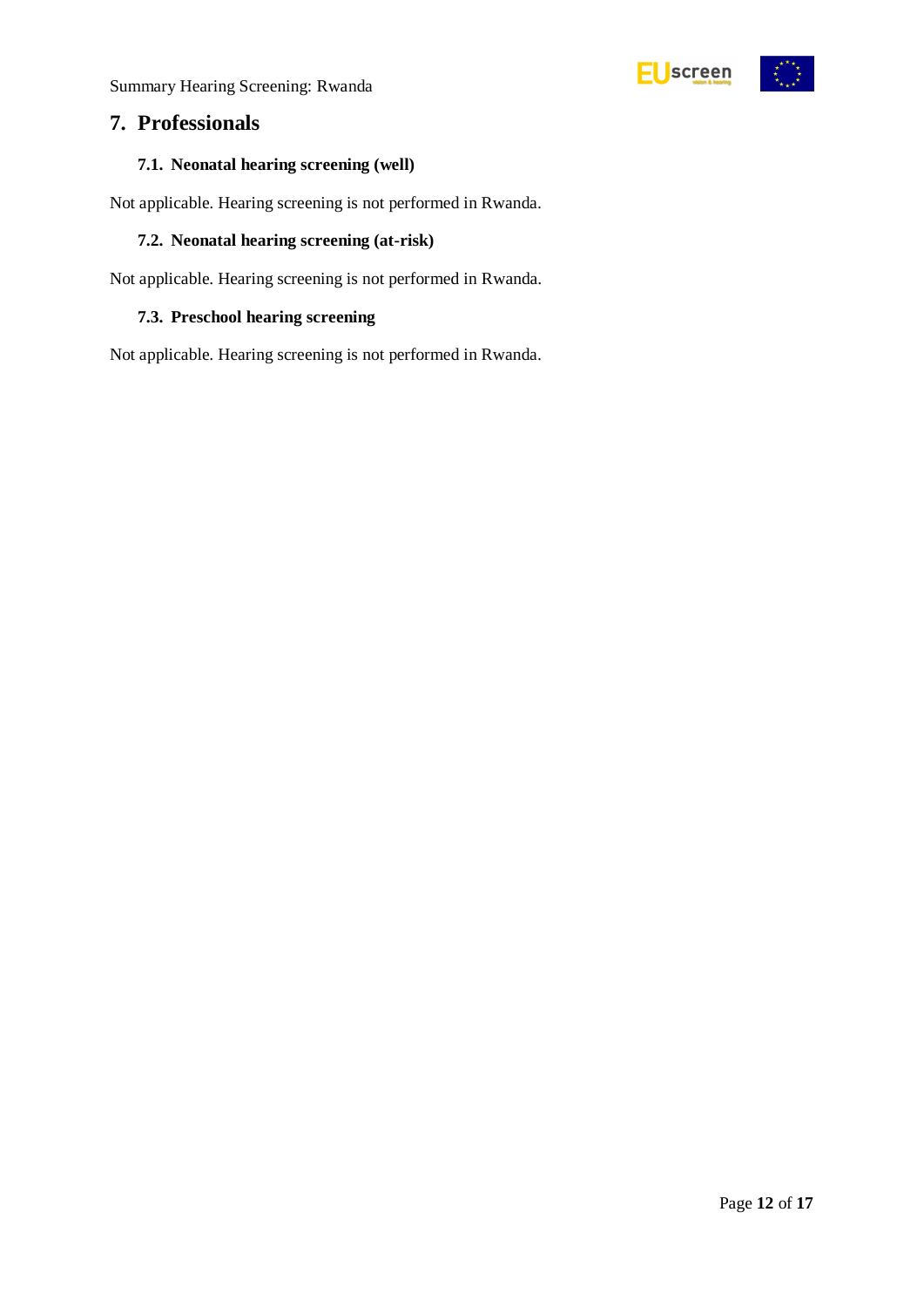## <span id="page-11-0"></span>**7. Professionals**

#### <span id="page-11-1"></span>**7.1. Neonatal hearing screening (well)**

Not applicable. Hearing screening is not performed in Rwanda.

#### <span id="page-11-2"></span>**7.2. Neonatal hearing screening (at-risk)**

Not applicable. Hearing screening is not performed in Rwanda.

#### <span id="page-11-3"></span>**7.3. Preschool hearing screening**

Not applicable. Hearing screening is not performed in Rwanda.



EUscreen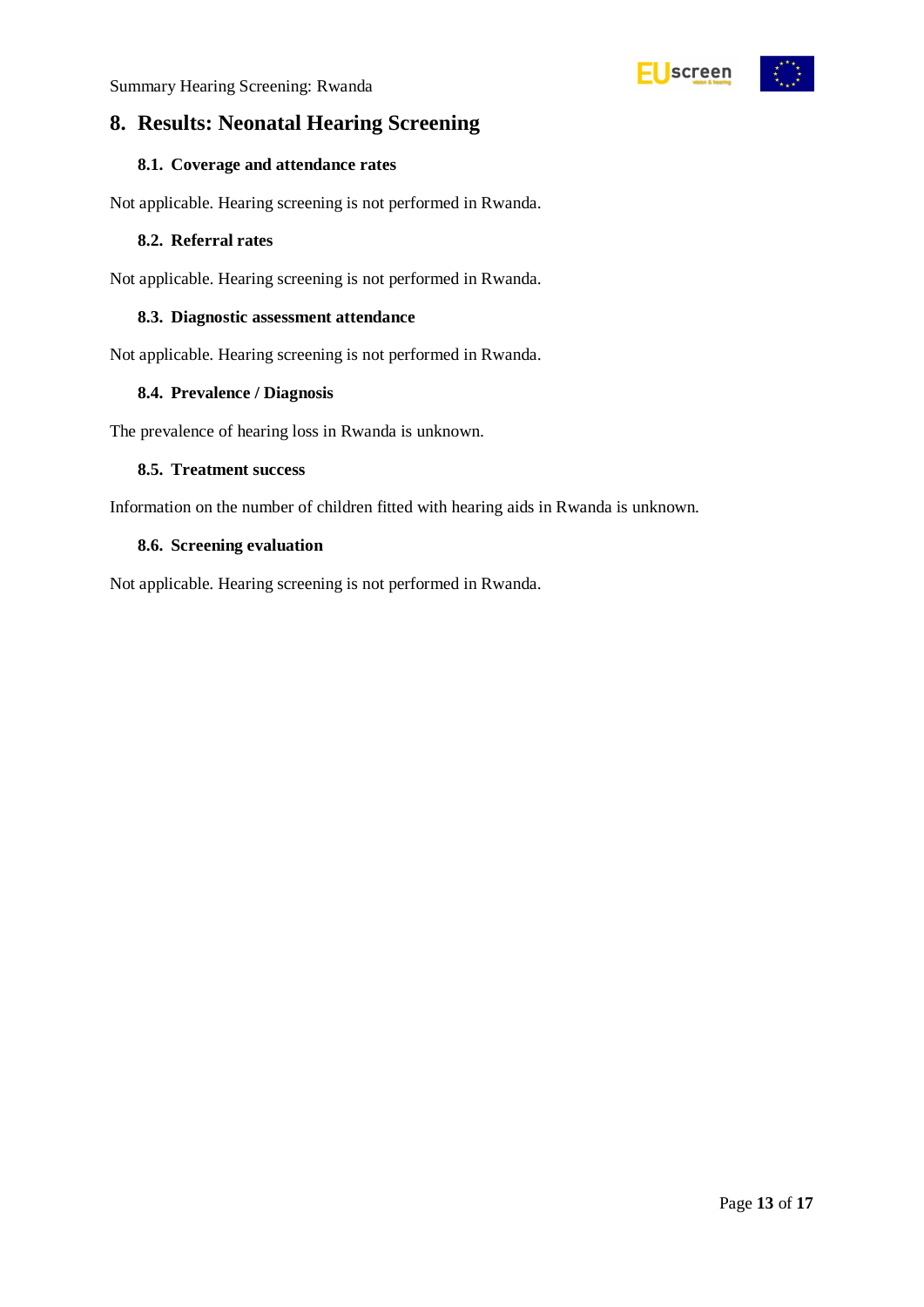<span id="page-12-0"></span>

#### <span id="page-12-1"></span>**8.1. Coverage and attendance rates**

Not applicable. Hearing screening is not performed in Rwanda.

#### <span id="page-12-2"></span>**8.2. Referral rates**

Not applicable. Hearing screening is not performed in Rwanda.

#### <span id="page-12-3"></span>**8.3. Diagnostic assessment attendance**

Not applicable. Hearing screening is not performed in Rwanda.

#### <span id="page-12-4"></span>**8.4. Prevalence / Diagnosis**

The prevalence of hearing loss in Rwanda is unknown.

#### <span id="page-12-5"></span>**8.5. Treatment success**

Information on the number of children fitted with hearing aids in Rwanda is unknown.

#### <span id="page-12-6"></span>**8.6. Screening evaluation**

Not applicable. Hearing screening is not performed in Rwanda.



Screen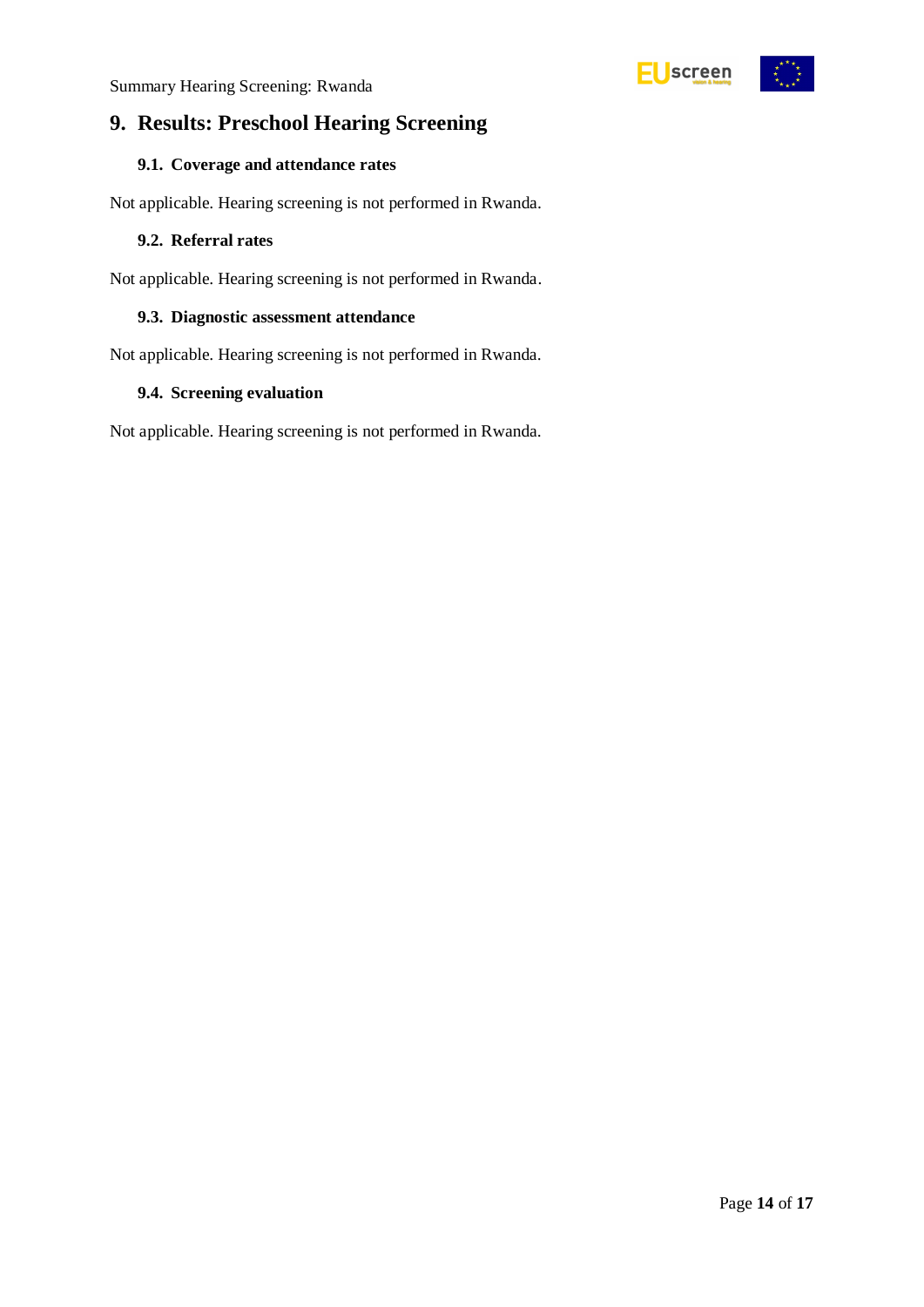<span id="page-13-0"></span>

#### <span id="page-13-1"></span>**9.1. Coverage and attendance rates**

Not applicable. Hearing screening is not performed in Rwanda.

#### <span id="page-13-2"></span>**9.2. Referral rates**

Not applicable. Hearing screening is not performed in Rwanda.

#### <span id="page-13-3"></span>**9.3. Diagnostic assessment attendance**

Not applicable. Hearing screening is not performed in Rwanda.

#### <span id="page-13-4"></span>**9.4. Screening evaluation**

Not applicable. Hearing screening is not performed in Rwanda.



**Uscreen**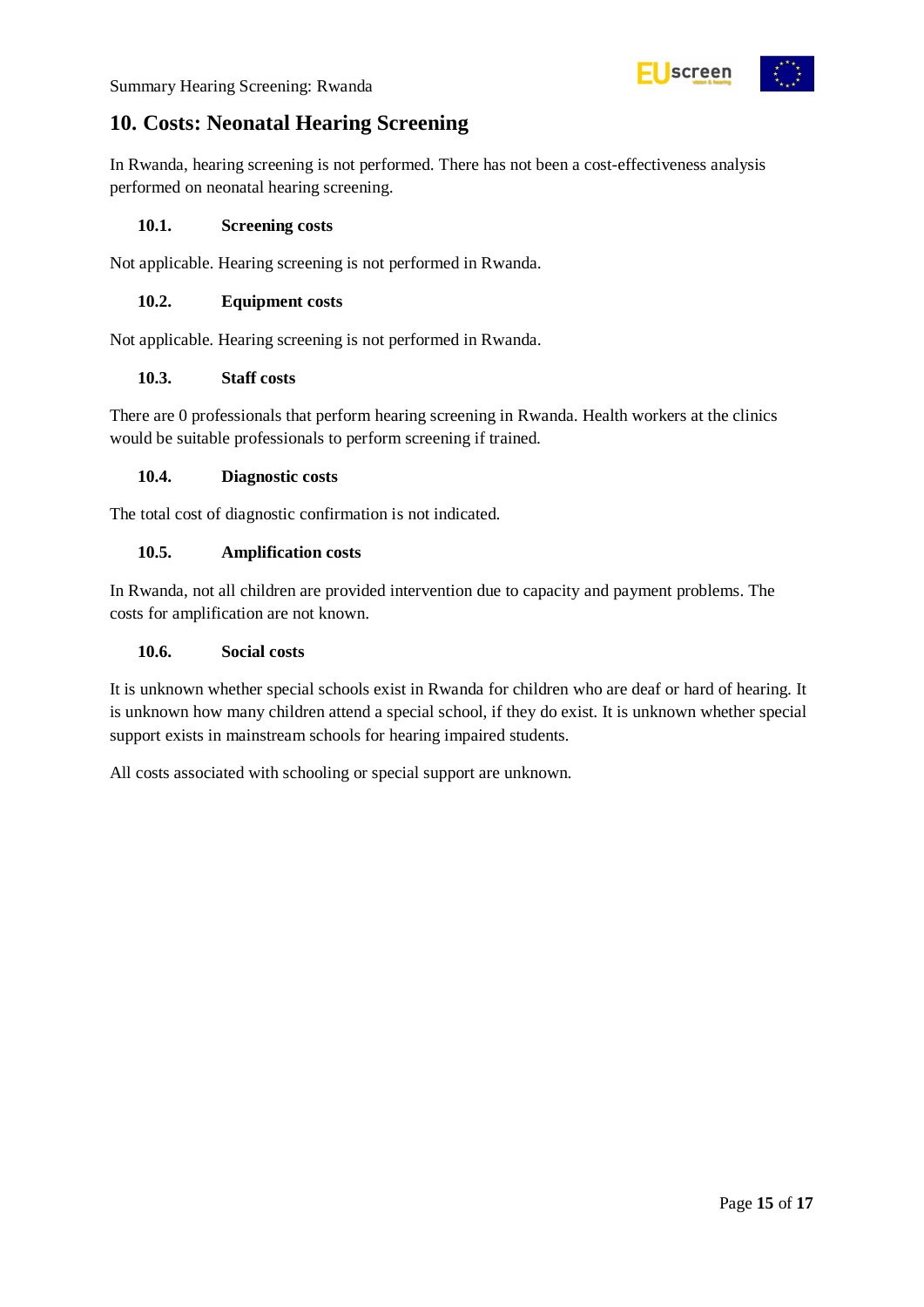

## <span id="page-14-0"></span>**10. Costs: Neonatal Hearing Screening**

In Rwanda, hearing screening is not performed. There has not been a cost-effectiveness analysis performed on neonatal hearing screening.

#### <span id="page-14-1"></span>**10.1. Screening costs**

Not applicable. Hearing screening is not performed in Rwanda.

#### <span id="page-14-2"></span>**10.2. Equipment costs**

Not applicable. Hearing screening is not performed in Rwanda.

#### <span id="page-14-3"></span>**10.3. Staff costs**

There are 0 professionals that perform hearing screening in Rwanda. Health workers at the clinics would be suitable professionals to perform screening if trained.

#### <span id="page-14-4"></span>**10.4. Diagnostic costs**

The total cost of diagnostic confirmation is not indicated.

#### <span id="page-14-5"></span>**10.5. Amplification costs**

In Rwanda, not all children are provided intervention due to capacity and payment problems. The costs for amplification are not known.

#### <span id="page-14-6"></span>**10.6. Social costs**

It is unknown whether special schools exist in Rwanda for children who are deaf or hard of hearing. It is unknown how many children attend a special school, if they do exist. It is unknown whether special support exists in mainstream schools for hearing impaired students.

All costs associated with schooling or special support are unknown.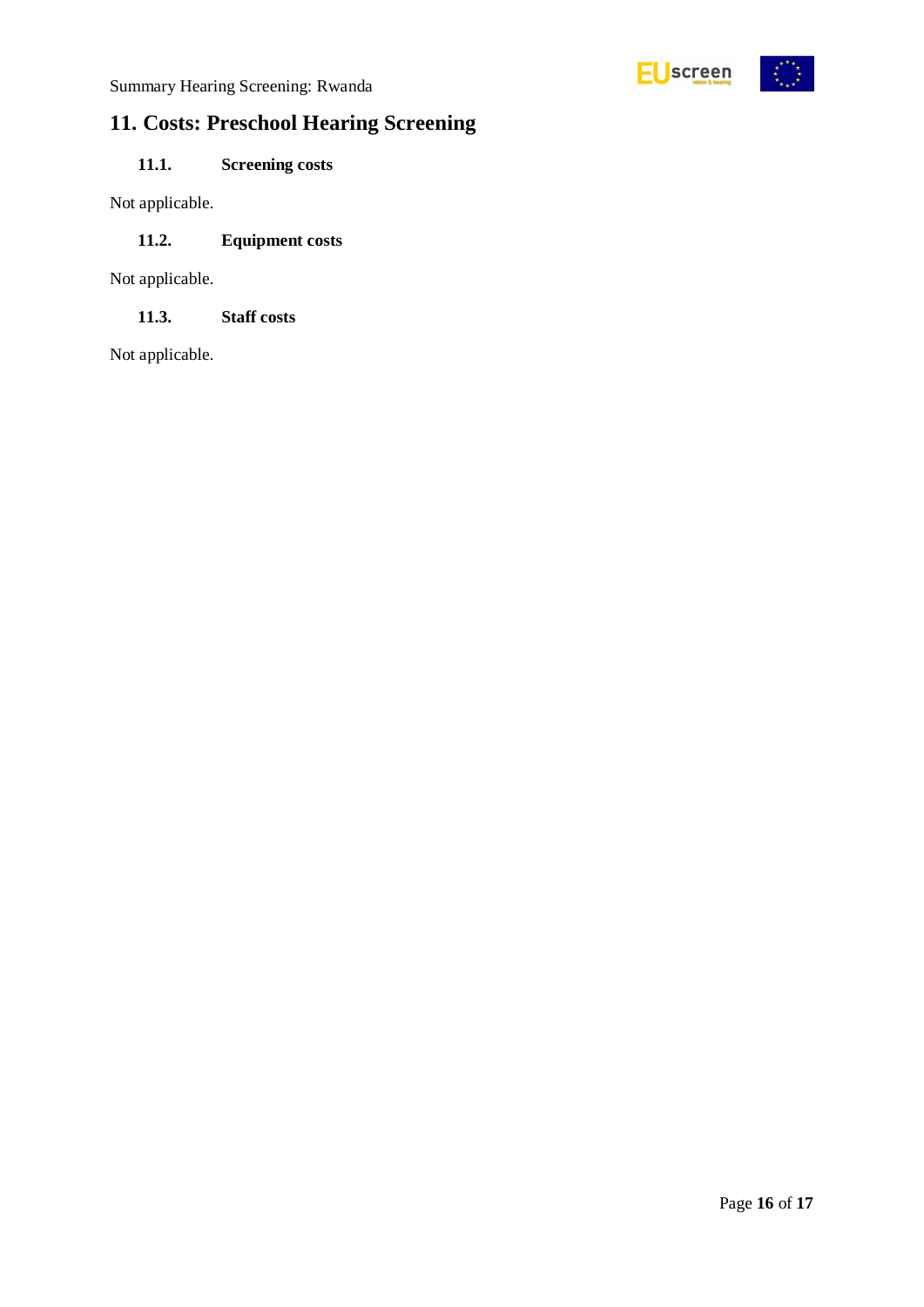

# <span id="page-15-0"></span>**11. Costs: Preschool Hearing Screening**

## <span id="page-15-1"></span>**11.1. Screening costs**

Not applicable.

### <span id="page-15-2"></span>**11.2. Equipment costs**

Not applicable.

<span id="page-15-3"></span>**11.3. Staff costs**

Not applicable.